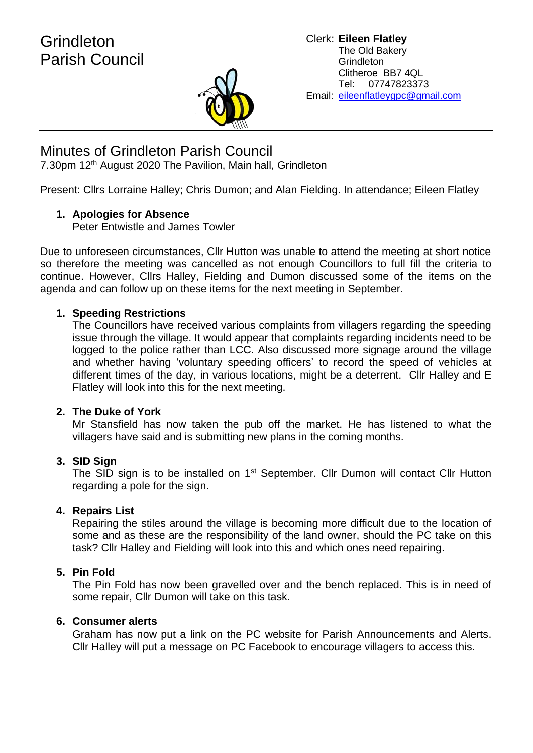

# Minutes of Grindleton Parish Council

7.30pm 12<sup>th</sup> August 2020 The Pavilion, Main hall, Grindleton

Present: Cllrs Lorraine Halley; Chris Dumon; and Alan Fielding. In attendance; Eileen Flatley

# **1. Apologies for Absence**

Peter Entwistle and James Towler

Due to unforeseen circumstances, Cllr Hutton was unable to attend the meeting at short notice so therefore the meeting was cancelled as not enough Councillors to full fill the criteria to continue. However, Cllrs Halley, Fielding and Dumon discussed some of the items on the agenda and can follow up on these items for the next meeting in September.

# **1. Speeding Restrictions**

The Councillors have received various complaints from villagers regarding the speeding issue through the village. It would appear that complaints regarding incidents need to be logged to the police rather than LCC. Also discussed more signage around the village and whether having 'voluntary speeding officers' to record the speed of vehicles at different times of the day, in various locations, might be a deterrent. Cllr Halley and E Flatley will look into this for the next meeting.

## **2. The Duke of York**

Mr Stansfield has now taken the pub off the market. He has listened to what the villagers have said and is submitting new plans in the coming months.

## **3. SID Sign**

The SID sign is to be installed on 1<sup>st</sup> September. Cllr Dumon will contact Cllr Hutton regarding a pole for the sign.

## **4. Repairs List**

Repairing the stiles around the village is becoming more difficult due to the location of some and as these are the responsibility of the land owner, should the PC take on this task? Cllr Halley and Fielding will look into this and which ones need repairing.

## **5. Pin Fold**

The Pin Fold has now been gravelled over and the bench replaced. This is in need of some repair, Cllr Dumon will take on this task.

## **6. Consumer alerts**

Graham has now put a link on the PC website for Parish Announcements and Alerts. Cllr Halley will put a message on PC Facebook to encourage villagers to access this.